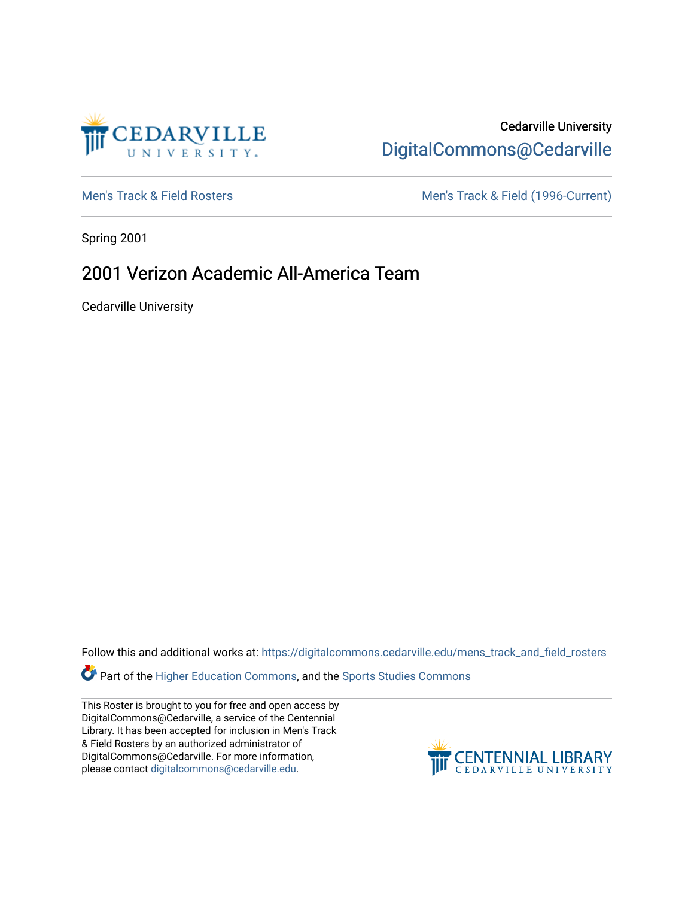

### Cedarville University [DigitalCommons@Cedarville](https://digitalcommons.cedarville.edu/)

[Men's Track & Field Rosters](https://digitalcommons.cedarville.edu/mens_track_and_field_rosters) Men's Track & Field (1996-Current)

Spring 2001

## 2001 Verizon Academic All-America Team

Cedarville University

Follow this and additional works at: [https://digitalcommons.cedarville.edu/mens\\_track\\_and\\_field\\_rosters](https://digitalcommons.cedarville.edu/mens_track_and_field_rosters?utm_source=digitalcommons.cedarville.edu%2Fmens_track_and_field_rosters%2F25&utm_medium=PDF&utm_campaign=PDFCoverPages)

**Part of the [Higher Education Commons,](http://network.bepress.com/hgg/discipline/1245?utm_source=digitalcommons.cedarville.edu%2Fmens_track_and_field_rosters%2F25&utm_medium=PDF&utm_campaign=PDFCoverPages) and the Sports Studies Commons** 

This Roster is brought to you for free and open access by DigitalCommons@Cedarville, a service of the Centennial Library. It has been accepted for inclusion in Men's Track & Field Rosters by an authorized administrator of DigitalCommons@Cedarville. For more information, please contact [digitalcommons@cedarville.edu](mailto:digitalcommons@cedarville.edu).